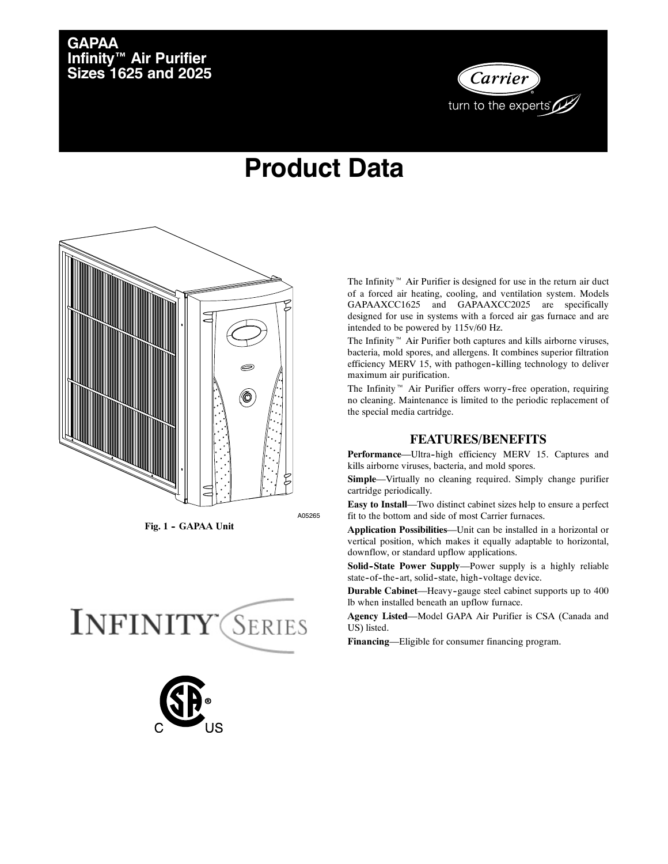## **GAPAA Infinity™ Air Purifier Sizes 1625 and 2025**



# **Product Data**



Fig. 1 - GAPAA Unit





The Infinity<sup> $M$ </sup> Air Purifier is designed for use in the return air duct of a forced air heating, cooling, and ventilation system. Models GAPAAXCC1625 and GAPAAXCC2025 are specifically designed for use in systems with a forced air gas furnace and are intended to be powered by 115v/60 Hz.

The Infinity  $M$  Air Purifier both captures and kills airborne viruses, bacteria, mold spores, and allergens. It combines superior filtration efficiency MERV 15, with pathogen-killing technology to deliver maximum air purification.

The Infinity<sup> $M$ </sup> Air Purifier offers worry-free operation, requiring no cleaning. Maintenance is limited to the periodic replacement of the special media cartridge.

#### **FEATURES/BENEFITS**

Performance-Ultra-high efficiency MERV 15. Captures and kills airborne viruses, bacteria, and mold spores.

**Simple**—Virtually no cleaning required. Simply change purifier cartridge periodically.

**Easy to Install**—Two distinct cabinet sizes help to ensure a perfect fit to the bottom and side of most Carrier furnaces.

**Application Possibilities**—Unit can be installed in a horizontal or vertical position, which makes it equally adaptable to horizontal, downflow, or standard upflow applications.

Solid-State Power Supply-Power supply is a highly reliable state-of-the-art, solid-state, high-voltage device.

**Durable Cabinet**—Heavy-gauge steel cabinet supports up to 400 lb when installed beneath an upflow furnace.

**Agency Listed**—Model GAPA Air Purifier is CSA (Canada and US) listed.

**Financing**—Eligible for consumer financing program.